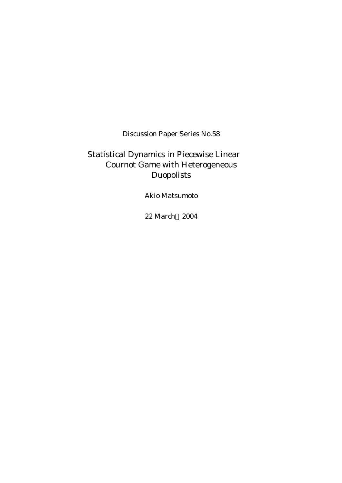Discussion Paper Series No.58

### Statistical Dynamics in Piecewise Linear Cournot Game with Heterogeneous Duopolists

Akio Matsumoto

22 March 2004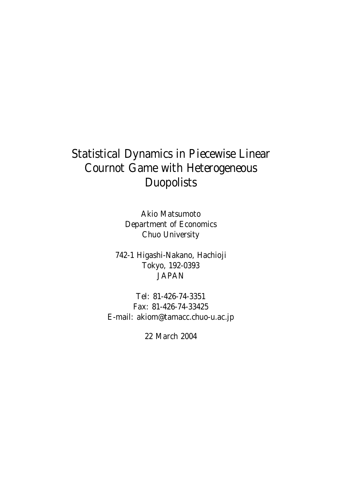## Statistical Dynamics in Piecewise Linear Cournot Game with Heterogeneous Duopolists

Akio Matsumoto Department of Economics Chuo University

742-1 Higashi-Nakano, Hachioji Tokyo, 192-0393 JAPAN

Tel: 81-426-74-3351 Fax: 81-426-74-33425 E-mail: akiom@tamacc.chuo-u.ac.jp

22 March 2004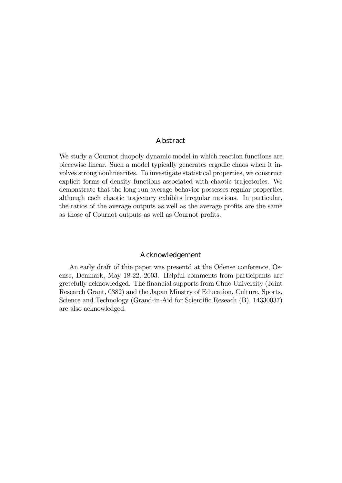### Abstract

We study a Cournot duopoly dynamic model in which reaction functions are piecewise linear. Such a model typically generates ergodic chaos when it involves strong nonlinearites. To investigate statistical properties, we construct explicit forms of density functions associated with chaotic trajectories. We demonstrate that the long-run average behavior possesses regular properties although each chaotic trajectory exhibits irregular motions. In particular, the ratios of the average outputs as well as the average profits are the same as those of Cournot outputs as well as Cournot profits.

#### Acknowledgement

An early draft of thie paper was presentd at the Odense conference, Osense, Denmark, May 18-22, 2003. Helpful comments from participants are gretefully acknowledged. The financial supports from Chuo University (Joint Research Grant, 0382) and the Japan Minstry of Education, Culture, Sports, Science and Technology (Grand-in-Aid for Scientific Reseach (B), 14330037) are also acknowledged.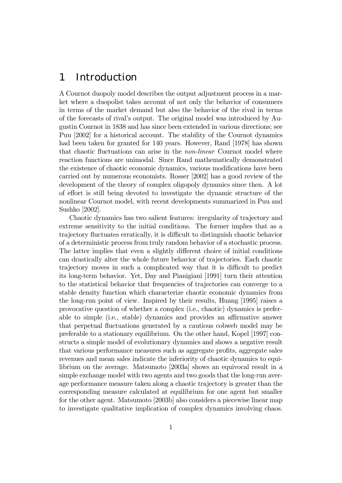### 1 Introduction

A Cournot duopoly model describes the output adjustment process in a market where a duopolist takes account of not only the behavior of consumers in terms of the market demand but also the behavior of the rival in terms of the forecasts of rival's output. The original model was introduced by Augustin Cournot in 1838 and has since been extended in various directions; see Puu [2002] for a historical account. The stability of the Cournot dynamics had been taken for granted for 140 years. However, Rand [1978] has shown that chaotic fluctuations can arise in the non-linear Cournot model where reaction functions are unimodal. Since Rand mathematically demonstrated the existence of chaotic economic dynamics, various modifications have been carried out by numerous economists. Rosser [2002] has a good review of the development of the theory of complex oligopoly dynamics since then. A lot of effort is still being devoted to investigate the dynamic structure of the nonlinear Cournot model, with recent developments summarized in Puu and Sushko [2002].

Chaotic dynamics has two salient features: irregularity of trajectory and extreme sensitivity to the initial conditions. The former implies that as a trajectory fluctuates erratically, it is difficult to distinguish chaotic behavior of a deterministic process from truly random behavior of a stochastic process. The latter implies that even a slightly different choice of initial conditions can drastically alter the whole future behavior of trajectories. Each chaotic trajectory moves in such a complicated way that it is difficult to predict its long-term behavior. Yet, Day and Pianigiani [1991] turn their attention to the statistical behavior that frequencies of trajectories can converge to a stable density function which characterize chaotic economic dynamics from the long-run point of view. Inspired by their results, Huang [1995] raises a provocative question of whether a complex (i.e., chaotic) dynamics is preferable to simple (i.e., stable) dynamics and provides an affirmative answer that perpetual fluctuations generated by a cautious cobweb model may be preferable to a stationary equilibrium. On the other hand, Kopel [1997] constructs a simple model of evolutionary dynamics and shows a negative result that various performance measures such as aggregate profits, aggregate sales revenues and mean sales indicate the inferiority of chaotic dynamics to equilibrium on the average. Matsumoto [2003a] shows an equivocal result in a simple exchange model with two agents and two goods that the long-run average performance measure taken along a chaotic trajectory is greater than the corresponding measure calculated at equilibrium for one agent but smaller for the other agent. Matsumoto [2003b] also considers a piecewise linear map to investigate qualitative implication of complex dynamics involving chaos.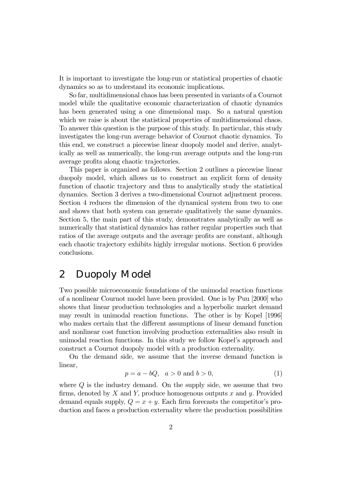It is important to investigate the long-run or statistical properties of chaotic dynamics so as to understand its economic implications.

So far, multidimensional chaos has been presented in variants of a Cournot model while the qualitative economic characterization of chaotic dynamics has been generated using a one dimensional map. So a natural question which we raise is about the statistical properties of multidimensional chaos. To answer this question is the purpose of this study. In particular, this study investigates the long-run average behavior of Cournot chaotic dynamics. To this end, we construct a piecewise linear duopoly model and derive, analytically as well as numerically, the long-run average outputs and the long-run average profits along chaotic trajectories.

This paper is organized as follows. Section 2 outlines a piecewise linear duopoly model, which allows us to construct an explicit form of density function of chaotic trajectory and thus to analytically study the statistical dynamics. Section 3 derives a two-dimensional Cournot adjustment process. Section 4 reduces the dimension of the dynamical system from two to one and shows that both system can generate qualitatively the same dynamics. Section 5, the main part of this study, demonstrates analytically as well as numerically that statistical dynamics has rather regular properties such that ratios of the average outputs and the average profits are constant, although each chaotic trajectory exhibits highly irregular motions. Section 6 provides conclusions.

### 2 Duopoly Model

Two possible microeconomic foundations of the unimodal reaction functions of a nonlinear Cournot model have been provided. One is by Puu [2000] who shows that linear production technologies and a hyperbolic market demand may result in unimodal reaction functions. The other is by Kopel [1996] who makes certain that the different assumptions of linear demand function and nonlinear cost function involving production externalities also result in unimodal reaction functions. In this study we follow Kopel's approach and construct a Cournot duopoly model with a production externality.

On the demand side, we assume that the inverse demand function is linear,

$$
p = a - bQ, \quad a > 0 \text{ and } b > 0,\tag{1}
$$

where  $Q$  is the industry demand. On the supply side, we assume that two firms, denoted by  $X$  and  $Y$ , produce homogenous outputs  $x$  and  $y$ . Provided demand equals supply,  $Q = x + y$ . Each firm forecasts the competitor's production and faces a production externality where the production possibilities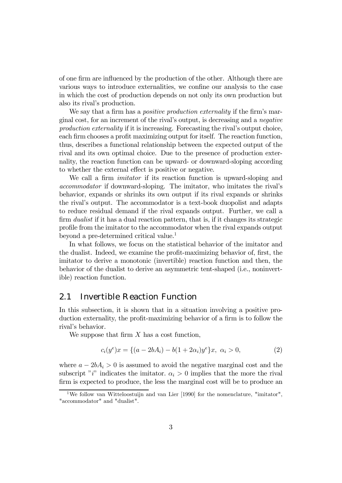of one firm are influenced by the production of the other. Although there are various ways to introduce externalities, we confine our analysis to the case in which the cost of production depends on not only its own production but also its rival's production.

We say that a firm has a *positive production externality* if the firm's marginal cost, for an increment of the rival's output, is decreasing and a negative production externality if it is increasing. Forecasting the rival's output choice, each firm chooses a profit maximizing output for itself. The reaction function, thus, describes a functional relationship between the expected output of the rival and its own optimal choice. Due to the presence of production externality, the reaction function can be upward- or downward-sloping according to whether the external effect is positive or negative.

We call a firm *imitator* if its reaction function is upward-sloping and accommodator if downward-sloping. The imitator, who imitates the rival's behavior, expands or shrinks its own output if its rival expands or shrinks the rival's output. The accommodator is a text-book duopolist and adapts to reduce residual demand if the rival expands output. Further, we call a firm *dualist* if it has a dual reaction pattern, that is, if it changes its strategic profile from the imitator to the accommodator when the rival expands output beyond a pre-determined critical value.<sup>1</sup>

In what follows, we focus on the statistical behavior of the imitator and the dualist. Indeed, we examine the profit-maximizing behavior of, first, the imitator to derive a monotonic (invertible) reaction function and then, the behavior of the dualist to derive an asymmetric tent-shaped (i.e., noninvertible) reaction function.

### 2.1 Invertible Reaction Function

In this subsection, it is shown that in a situation involving a positive production externality, the profit-maximizing behavior of a firm is to follow the rival's behavior.

We suppose that firm  $X$  has a cost function,

$$
c_i(y^e)x = \{(a - 2bA_i) - b(1 + 2\alpha_i)y^e\}x, \ \alpha_i > 0,\tag{2}
$$

where  $a - 2bA_i > 0$  is assumed to avoid the negative marginal cost and the subscript "i" indicates the imitator.  $\alpha_i > 0$  implies that the more the rival firm is expected to produce, the less the marginal cost will be to produce an

<sup>&</sup>lt;sup>1</sup>We follow van Witteloostuijn and van Lier [1990] for the nomenclature, "imitator", "accommodator" and "dualist".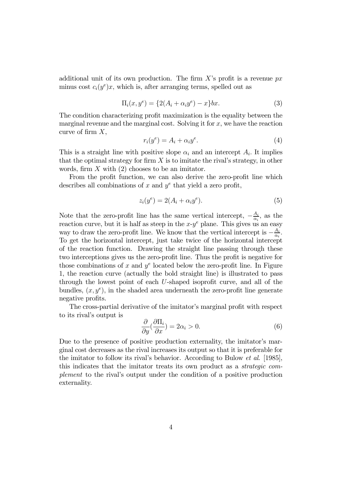additional unit of its own production. The firm  $X$ 's profit is a revenue  $px$ minus cost  $c_i(y^e)x$ , which is, after arranging terms, spelled out as

$$
\Pi_i(x, y^e) = \{2(A_i + \alpha_i y^e) - x\}bx.
$$
 (3)

The condition characterizing profit maximization is the equality between the marginal revenue and the marginal cost. Solving it for  $x$ , we have the reaction curve of firm  $X$ ,

$$
r_i(y^e) = A_i + \alpha_i y^e. \tag{4}
$$

This is a straight line with positive slope  $\alpha_i$  and an intercept  $A_i$ . It implies that the optimal strategy for firm  $X$  is to imitate the rival's strategy, in other words, firm  $X$  with  $(2)$  chooses to be an imitator.

From the profit function, we can also derive the zero-profit line which describes all combinations of x and  $y^e$  that yield a zero profit,

$$
z_i(y^e) = 2(A_i + \alpha_i y^e). \tag{5}
$$

Note that the zero-profit line has the same vertical intercept,  $-\frac{A_i}{\alpha_i}$ , as the reaction curve, but it is half as steep in the  $x-y^e$  plane. This gives us an easy way to draw the zero-profit line. We know that the vertical intercept is  $-\frac{A_i}{\alpha_i}$ . To get the horizontal intercept, just take twice of the horizontal intercept of the reaction function. Drawing the straight line passing through these two interceptions gives us the zero-profit line. Thus the profit is negative for those combinations of x and  $y^e$  located below the zero-profit line. In Figure 1, the reaction curve (actually the bold straight line) is illustrated to pass through the lowest point of each U-shaped isoprofit curve, and all of the bundles,  $(x, y^e)$ , in the shaded area underneath the zero-profit line generate negative profits.

The cross-partial derivative of the imitator's marginal profit with respect to its rival's output is

$$
\frac{\partial}{\partial y}(\frac{\partial \Pi_i}{\partial x}) = 2\alpha_i > 0.
$$
\n(6)

Due to the presence of positive production externality, the imitator's marginal cost decreases as the rival increases its output so that it is preferable for the imitator to follow its rival's behavior. According to Bulow et al. [1985], this indicates that the imitator treats its own product as a strategic complement to the rival's output under the condition of a positive production externality.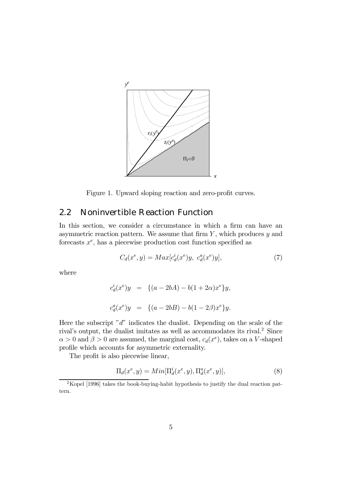

Figure 1. Upward sloping reaction and zero-profit curves.

### 2.2 Noninvertible Reaction Function

In this section, we consider a circumstance in which a firm can have an asymmetric reaction pattern. We assume that firm  $Y$ , which produces  $y$  and forecasts  $x^e$ , has a piecewise production cost function specified as

$$
C_d(x^e, y) = Max[c_d^i(x^e)y, c_d^a(x^e)y],
$$
\n
$$
(7)
$$

where

$$
c_d^i(x^e)y = \{(a - 2bA) - b(1 + 2\alpha)x^e\}y,
$$
  

$$
c_d^a(x^e)y = \{(a - 2bB) - b(1 - 2\beta)x^e\}y.
$$

Here the subscript " $d$ " indicates the dualist. Depending on the scale of the rival's output, the dualist imitates as well as accommodates its rival.2 Since  $\alpha > 0$  and  $\beta > 0$  are assumed, the marginal cost,  $c_d(x^e)$ , takes on a V-shaped profile which accounts for asymmetric externality.

The profit is also piecewise linear,

$$
\Pi_d(x^e, y) = Min[\Pi_d^i(x^e, y), \Pi_d^a(x^e, y)],\tag{8}
$$

<sup>&</sup>lt;sup>2</sup>Kopel [1996] takes the book-buying-habit hypothesis to justify the dual reaction pattern.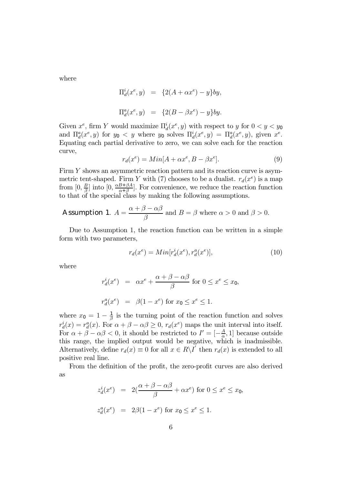where

$$
\Pi_d^i(x^e, y) = \{2(A + \alpha x^e) - y\}by,
$$
  

$$
\Pi_d^a(x^e, y) = \{2(B - \beta x^e) - y\}by.
$$

Given  $x^e$ , firm Y would maximize  $\prod_{d}^{i}(x^e, y)$  with respect to y for  $0 < y < y_0$ and  $\Pi_d^a(x^e, y)$  for  $y_0 < y$  where  $y_0$  solves  $\Pi_d^i(x^e, y) = \Pi_d^a(x^e, y)$ , given  $x^e$ . Equating each partial derivative to zero, we can solve each for the reaction curve,

$$
r_d(x^e) = Min[A + \alpha x^e, B - \beta x^e].
$$
\n(9)

Firm Y shows an asymmetric reaction pattern and its reaction curve is asymmetric tent-shaped. Firm Y with (7) chooses to be a dualist.  $r_d(x^e)$  is a map from  $[0, \frac{B}{\beta}]$  into  $[0, \frac{\alpha B + \beta A}{\alpha + \beta}]$ . For convenience, we reduce the reaction function to that of the special class by making the following assumptions.

**Assumption 1.** 
$$
A = \frac{\alpha + \beta - \alpha \beta}{\beta}
$$
 and  $B = \beta$  where  $\alpha > 0$  and  $\beta > 0$ .

Due to Assumption 1, the reaction function can be written in a simple form with two parameters,

$$
r_d(x^e) = Min[r_d^i(x^e), r_d^a(x^e)],
$$
\n(10)

where

$$
r_d^i(x^e) = \alpha x^e + \frac{\alpha + \beta - \alpha \beta}{\beta} \text{ for } 0 \le x^e \le x_0,
$$
  

$$
r_d^a(x^e) = \beta(1 - x^e) \text{ for } x_0 \le x^e \le 1.
$$

where  $x_0 = 1 - \frac{1}{\beta}$  is the turning point of the reaction function and solves  $r_d^i(x) = r_d^a(x)$ . For  $\alpha + \beta - \alpha \beta \geq 0$ ,  $r_d(x^e)$  maps the unit interval into itself. For  $\alpha + \beta - \alpha \beta < 0$ , it should be restricted to  $I' = \left[-\frac{A}{\alpha}, 1\right]$  because outside this range, the implied output would be negative, which is inadmissible. Alternatively, define  $r_d(x) \equiv 0$  for all  $x \in R\backslash I'$  then  $r_d(x)$  is extended to all positive real line.

From the definition of the profit, the zero-profit curves are also derived as

$$
z_d^i(x^e) = 2(\frac{\alpha + \beta - \alpha\beta}{\beta} + \alpha x^e) \text{ for } 0 \le x^e \le x_0,
$$
  

$$
z_d^a(x^e) = 2\beta(1 - x^e) \text{ for } x_0 \le x^e \le 1.
$$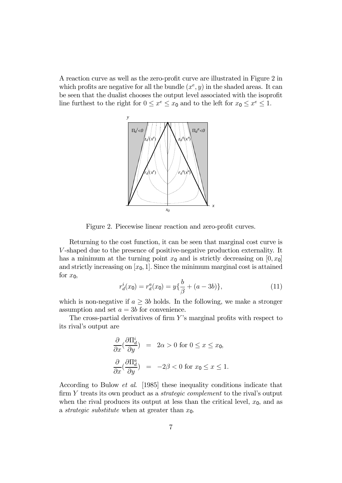A reaction curve as well as the zero-profit curve are illustrated in Figure 2 in which profits are negative for all the bundle  $(x^e, y)$  in the shaded areas. It can be seen that the dualist chooses the output level associated with the isoprofit line furthest to the right for  $0 \le x^e \le x_0$  and to the left for  $x_0 \le x^e \le 1$ .



Figure 2. Piecewise linear reaction and zero-profit curves.

Returning to the cost function, it can be seen that marginal cost curve is V -shaped due to the presence of positive-negative production externality. It has a minimum at the turning point  $x_0$  and is strictly decreasing on  $[0, x_0]$ and strictly increasing on  $[x_0, 1]$ . Since the minimum marginal cost is attained for  $x_0$ ,

$$
r_d^i(x_0) = r_d^a(x_0) = y\{\frac{b}{\beta} + (a - 3b)\},\tag{11}
$$

which is non-negative if  $a \geq 3b$  holds. In the following, we make a stronger assumption and set  $a = 3b$  for convenience.

The cross-partial derivatives of firm  $Y$ 's marginal profits with respect to its rival's output are

$$
\frac{\partial}{\partial x} \left( \frac{\partial \Pi_d^i}{\partial y} \right) = 2\alpha > 0 \text{ for } 0 \le x \le x_0,
$$
  

$$
\frac{\partial}{\partial x} \left( \frac{\partial \Pi_d^a}{\partial y} \right) = -2\beta < 0 \text{ for } x_0 \le x \le 1.
$$

According to Bulow et al. [1985] these inequality conditions indicate that firm Y treats its own product as a *strategic complement* to the rival's output when the rival produces its output at less than the critical level,  $x_0$ , and as a strategic substitute when at greater than  $x_0$ .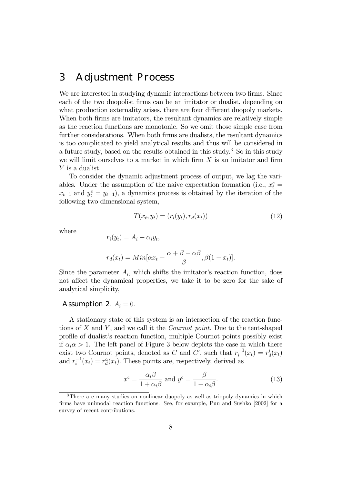### 3 Adjustment Process

We are interested in studying dynamic interactions between two firms. Since each of the two duopolist firms can be an imitator or dualist, depending on what production externality arises, there are four different duopoly markets. When both firms are imitators, the resultant dynamics are relatively simple as the reaction functions are monotonic. So we omit those simple case from further considerations. When both firms are dualists, the resultant dynamics is too complicated to yield analytical results and thus will be considered in a future study, based on the results obtained in this study.<sup>3</sup> So in this study we will limit ourselves to a market in which firm  $X$  is an imitator and firm Y is a dualist.

To consider the dynamic adjustment process of output, we lag the variables. Under the assumption of the naive expectation formation (i.e.,  $x_t^e$  =  $x_{t-1}$  and  $y_t^e = y_{t-1}$ , a dynamics process is obtained by the iteration of the following two dimensional system,

$$
T(x_t, y_t) = (r_i(y_t), r_d(x_t))
$$
\n(12)

where

$$
r_i(y_t) = A_i + \alpha_i y_t,
$$
  

$$
r_d(x_t) = Min[\alpha x_t + \frac{\alpha + \beta - \alpha \beta}{\beta}, \beta(1 - x_t)].
$$

Since the parameter  $A_i$ , which shifts the imitator's reaction function, does not affect the dynamical properties, we take it to be zero for the sake of analytical simplicity,

#### **Assumption 2.**  $A_i = 0$ .

A stationary state of this system is an intersection of the reaction functions of  $X$  and  $Y$ , and we call it the *Cournot point*. Due to the tent-shaped profile of dualist's reaction function, multiple Cournot points possibly exist if  $\alpha_i \alpha > 1$ . The left panel of Figure 3 below depicts the case in which there exist two Cournot points, denoted as C and C', such that  $r_i^{-1}(x_t) = r_d^i(x_t)$ and  $r_i^{-1}(x_t) = r_d^a(x_t)$ . These points are, respectively, derived as

$$
x^{c} = \frac{\alpha_{i}\beta}{1 + \alpha_{i}\beta} \text{ and } y^{c} = \frac{\beta}{1 + \alpha_{i}\beta}.
$$
 (13)

<sup>&</sup>lt;sup>3</sup>There are many studies on nonlinear duopoly as well as triopoly dynamics in which firms have unimodal reaction functions. See, for example, Puu and Sushko [2002] for a survey of recent contributions.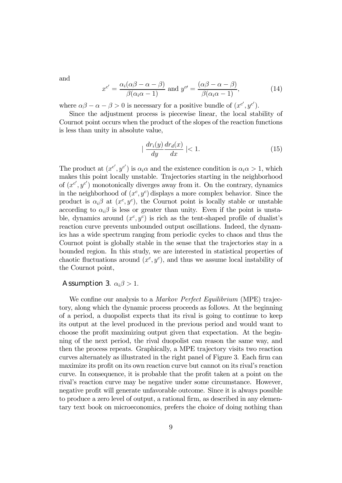and

$$
x^{c'} = \frac{\alpha_i(\alpha\beta - \alpha - \beta)}{\beta(\alpha_i\alpha - 1)} \text{ and } y^{c'} = \frac{(\alpha\beta - \alpha - \beta)}{\beta(\alpha_i\alpha - 1)},\tag{14}
$$

where  $\alpha\beta - \alpha - \beta > 0$  is necessary for a positive bundle of  $(x^{c'}, y^{c'})$ .

Since the adjustment process is piecewise linear, the local stability of Cournot point occurs when the product of the slopes of the reaction functions is less than unity in absolute value,

$$
\left|\frac{dr_i(y)}{dy}\frac{dr_d(x)}{dx}\right| < 1.\tag{15}
$$

The product at  $(x^{c'}, y^{c'})$  is  $\alpha_i \alpha$  and the existence condition is  $\alpha_i \alpha > 1$ , which makes this point locally unstable. Trajectories starting in the neighborhood of  $(x^{c'}, y^{c'})$  monotonically diverges away from it. On the contrary, dynamics in the neighborhood of  $(x^c, y^c)$  displays a more complex behavior. Since the product is  $\alpha_i \beta$  at  $(x^c, y^c)$ , the Cournot point is locally stable or unstable according to  $\alpha_i\beta$  is less or greater than unity. Even if the point is unstable, dynamics around  $(x^c, y^c)$  is rich as the tent-shaped profile of dualist's reaction curve prevents unbounded output oscillations. Indeed, the dynamics has a wide spectrum ranging from periodic cycles to chaos and thus the Cournot point is globally stable in the sense that the trajectories stay in a bounded region. In this study, we are interested in statistical properties of chaotic fluctuations around  $(x^c, y^c)$ , and thus we assume local instability of the Cournot point,

#### **Assumption 3.**  $\alpha_i \beta > 1$ .

We confine our analysis to a *Markov Perfect Equilibrium* (MPE) trajectory, along which the dynamic process proceeds as follows. At the beginning of a period, a duopolist expects that its rival is going to continue to keep its output at the level produced in the previous period and would want to choose the profit maximizing output given that expectation. At the beginning of the next period, the rival duopolist can reason the same way, and then the process repeats. Graphically, a MPE trajectory visits two reaction curves alternately as illustrated in the right panel of Figure 3. Each firm can maximize its profit on its own reaction curve but cannot on its rival's reaction curve. In consequence, it is probable that the profit taken at a point on the rival's reaction curve may be negative under some circumstance. However, negative profit will generate unfavorable outcome. Since it is always possible to produce a zero level of output, a rational firm, as described in any elementary text book on microeconomics, prefers the choice of doing nothing than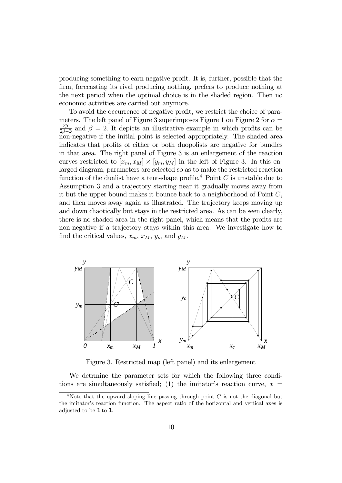producing something to earn negative profit. It is, further, possible that the firm, forecasting its rival producing nothing, prefers to produce nothing at the next period when the optimal choice is in the shaded region. Then no economic activities are carried out anymore.

To avoid the occurrence of negative profit, we restrict the choice of parameters. The left panel of Figure 3 superimposes Figure 1 on Figure 2 for  $\alpha =$  $\frac{2\beta}{2\beta-3}$  and  $\beta = 2$ . It depicts an illustrative example in which profits can be non-negative if the initial point is selected appropriately. The shaded area indicates that profits of either or both duopolists are negative for bundles in that area. The right panel of Figure 3 is an enlargement of the reaction curves restricted to  $[x_m, x_M] \times [y_m, y_M]$  in the left of Figure 3. In this enlarged diagram, parameters are selected so as to make the restricted reaction function of the dualist have a tent-shape profile.<sup>4</sup> Point  $C$  is unstable due to Assumption 3 and a trajectory starting near it gradually moves away from it but the upper bound makes it bounce back to a neighborhood of Point  $C$ , and then moves away again as illustrated. The trajectory keeps moving up and down chaotically but stays in the restricted area. As can be seen clearly, there is no shaded area in the right panel, which means that the profits are non-negative if a trajectory stays within this area. We investigate how to find the critical values,  $x_m$ ,  $x_M$ ,  $y_m$  and  $y_M$ .



Figure 3. Restricted map (left panel) and its enlargement

We detrmine the parameter sets for which the following three conditions are simultaneously satisfied; (1) the imitator's reaction curve,  $x =$ 

<sup>&</sup>lt;sup>4</sup>Note that the upward sloping line passing through point  $C$  is not the diagonal but the imitator's reaction function. The aspect ratio of the horizontal and vertical axes is adjusted to be 1 to 1.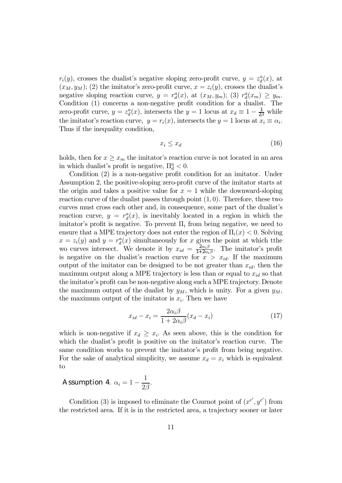$r_i(y)$ , crosses the dualist's negative sloping zero-profit curve,  $y = z_d^a(x)$ , at  $(x_M, y_M)$ ; (2) the imitator's zero-profit curve,  $x = z_i(y)$ , crosses the dualist's negative sloping reaction curve,  $y = r_d^a(x)$ , at  $(x_M, y_m)$ ; (3)  $r_d^a(x_m) \ge y_m$ . Condition (1) concerns a non-negative profit condition for a dualist. The zero-profit curve,  $y = z_d^a(x)$ , intersects the  $y = 1$  locus at  $x_d \equiv 1 - \frac{1}{2\beta}$  while the imitator's reaction curve,  $y = r_i(x)$ , intersects the  $y = 1$  locus at  $x_i \equiv \alpha_i$ . Thus if the inequality condition,

$$
x_i \le x_d \tag{16}
$$

holds, then for  $x \geq x_m$  the imitator's reaction curve is not located in an area in which dualist's profit is negative,  $\Pi_d^a < 0$ .

Condition (2) is a non-negative profit condition for an imitator. Under Assumption 2, the positive-sloping zero-profit curve of the imitator starts at the origin and takes a positive value for  $x = 1$  while the downward-sloping reaction curve of the dualist passes through point  $(1, 0)$ . Therefore, these two curves must cross each other and, in consequence, some part of the dualist's reaction curve,  $y = r_d^a(x)$ , is inevitably located in a region in which the imitator's profit is negative. To prevent  $\Pi_i$  from being negative, we need to ensure that a MPE trajectory does not enter the region of  $\Pi_i(x) < 0$ . Solving  $x = z_i(y)$  and  $y = r_d^a(x)$  simultaneously for x gives the point at which tthe wo curves intersect. We denote it by  $x_{id} = \frac{2\alpha_i \beta}{1+2\alpha_i \beta}$ . The imitator's profit is negative on the dualist's reaction curve for  $x > x_{id}$ . If the maximum output of the imitator can be designed to be not greater than  $x_{id}$ , then the maximum output along a MPE trajectory is less than or equal to  $x_{id}$  so that the imitator's profit can be non-negative along such a MPE trajectory. Denote the maximum output of the dualist by  $y_M$ , which is unity. For a given  $y_M$ , the maximum output of the imitator is  $x_i$ . Then we have

$$
x_{id} - x_i = \frac{2\alpha_i \beta}{1 + 2\alpha_i \beta} (x_d - x_i)
$$
\n(17)

which is non-negative if  $x_d \geq x_i$ . As seen above, this is the condition for which the dualist's profit is positive on the imitator's reaction curve. The same condition works to prevent the imitator's profit from being negative. For the sake of analytical simplicity, we assume  $x_d = x_i$  which is equivalent to

# Assumption 4.  $\alpha_i = 1 - \frac{1}{2\beta}$ .

Condition (3) is imposed to eliminate the Cournot point of  $(x^{c'}, y^{c'})$  from the restricted area. If it is in the restricted area, a trajectory sooner or later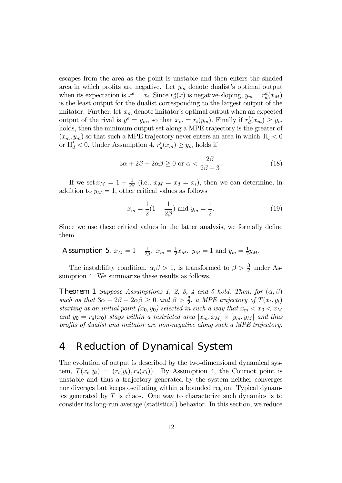escapes from the area as the point is unstable and then enters the shaded area in which profits are negative. Let  $y_m$  denote dualist's optimal output when its expectation is  $x^e = x_i$ . Since  $r_d^a(x)$  is negative-sloping,  $y_m = r_d^a(x_M)$ is the least output for the dualist corresponding to the largest output of the imitator. Further, let  $x_m$  denote imitator's optimal output when an expected output of the rival is  $y^e = y_m$ , so that  $x_m = r_i(y_m)$ . Finally if  $r_d^i(x_m) \ge y_m$ holds, then the minimum output set along a MPE trajectory is the greater of  $(x_m, y_m)$  so that such a MPE trajectory never enters an area in which  $\Pi_i < 0$ or  $\Pi_d^i < 0$ . Under Assumption 4,  $r_d^i(x_m) \ge y_m$  holds if

$$
3\alpha + 2\beta - 2\alpha\beta \ge 0 \text{ or } \alpha < \frac{2\beta}{2\beta - 3}.
$$
 (18)

If we set  $x_M = 1 - \frac{1}{2\beta}$  (i.e.,  $x_M = x_d = x_i$ ), then we can determine, in addition to  $y_M = 1$ , other critical values as follows

$$
x_m = \frac{1}{2}(1 - \frac{1}{2\beta}) \text{ and } y_m = \frac{1}{2}.
$$
 (19)

Since we use these critical values in the latter analysis, we formally define them.

**Assumption 5**. 
$$
x_M = 1 - \frac{1}{2\beta}
$$
,  $x_m = \frac{1}{2}x_M$ ,  $y_M = 1$  and  $y_m = \frac{1}{2}y_M$ .

The instablility condition,  $\alpha_i \beta > 1$ , is transformed to  $\beta > \frac{3}{2}$  under Assumption 4. We summarize these results as follows.

**Theorem 1** Suppose Assumptions 1, 2, 3, 4 and 5 hold. Then, for  $(\alpha, \beta)$ such as that  $3\alpha + 2\beta - 2\alpha\beta \geq 0$  and  $\beta > \frac{3}{2}$ , a MPE trajectory of  $T(x_t, y_t)$ starting at an initial point  $(x_0, y_0)$  selected in such a way that  $x_m < x_0 < x_M$ and  $y_0 = r_d(x_0)$  stays within a restricted area  $[x_m, x_M] \times [y_m, y_M]$  and thus profits of dualist and imitator are non-negative along such a MPE trajectory.

### 4 Reduction of Dynamical System

The evolution of output is described by the two-dimensional dynamical system,  $T(x_t, y_t) = (r_i(y_t), r_d(x_t))$ . By Assumption 4, the Cournot point is unstable and thus a trajectory generated by the system neither converges nor diverges but keeps oscillating within a bounded region. Typical dynamics generated by  $T$  is chaos. One way to characterize such dynamics is to consider its long-run average (statistical) behavior. In this section, we reduce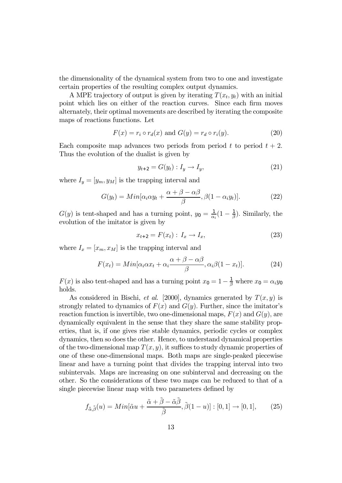the dimensionality of the dynamical system from two to one and investigate certain properties of the resulting complex output dynamics.

A MPE trajectory of output is given by iterating  $T(x_t, y_t)$  with an initial point which lies on either of the reaction curves. Since each firm moves alternately, their optimal movements are described by iterating the composite maps of reactions functions. Let

$$
F(x) = r_i \circ r_d(x) \text{ and } G(y) = r_d \circ r_i(y). \tag{20}
$$

Each composite map advances two periods from period t to period  $t + 2$ . Thus the evolution of the dualist is given by

$$
y_{t+2} = G(y_t) : I_y \to I_y,
$$
\n(21)

where  $I_y = [y_m, y_M]$  is the trapping interval and

$$
G(y_t) = Min[\alpha_i \alpha y_t + \frac{\alpha + \beta - \alpha \beta}{\beta}, \beta(1 - \alpha_i y_t)].
$$
\n(22)

 $G(y)$  is tent-shaped and has a turning point,  $y_0 = \frac{1}{\alpha_i}(1 - \frac{1}{\beta})$ . Similarly, the evolution of the imitator is given by

$$
x_{t+2} = F(x_t) : I_x \to I_x,\tag{23}
$$

where  $I_x = [x_m, x_M]$  is the trapping interval and

$$
F(x_t) = Min[\alpha_i \alpha x_t + \alpha_i \frac{\alpha + \beta - \alpha \beta}{\beta}, \alpha_i \beta (1 - x_t)].
$$
 (24)

 $F(x)$  is also tent-shaped and has a turning point  $x_0 = 1 - \frac{1}{\beta}$  where  $x_0 = \alpha_i y_0$ holds.

As considered in Bischi, *et al.* [2000], dynamics generated by  $T(x, y)$  is strongly related to dynamics of  $F(x)$  and  $G(y)$ . Further, since the imitator's reaction function is invertible, two one-dimensional maps,  $F(x)$  and  $G(y)$ , are dynamically equivalent in the sense that they share the same stability properties, that is, if one gives rise stable dynamics, periodic cycles or complex dynamics, then so does the other. Hence, to understand dynamical properties of the two-dimensional map  $T(x, y)$ , it suffices to study dynamic properties of one of these one-dimensional maps. Both maps are single-peaked piecewise linear and have a turning point that divides the trapping interval into two subintervals. Maps are increasing on one subinterval and decreasing on the other. So the considerations of these two maps can be reduced to that of a single piecewise linear map with two parameters defined by

$$
f_{\tilde{\alpha},\tilde{\beta}}(u) = Min[\tilde{\alpha}u + \frac{\tilde{\alpha} + \tilde{\beta} - \tilde{\alpha}\tilde{\beta}}{\tilde{\beta}}, \tilde{\beta}(1-u)] : [0,1] \to [0,1],
$$
 (25)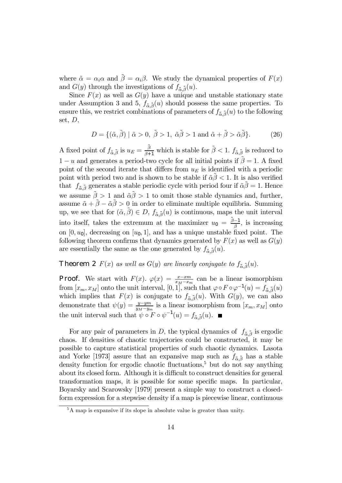where  $\tilde{\alpha} = \alpha_i \alpha$  and  $\tilde{\beta} = \alpha_i \beta$ . We study the dynamical properties of  $F(x)$ and  $G(y)$  through the investigations of  $f_{\tilde{\alpha}, \tilde{\beta}}(u)$ .

Since  $F(x)$  as well as  $G(y)$  have a unique and unstable stationary state under Assumption 3 and 5,  $f_{\tilde{\alpha}, \tilde{\beta}}(u)$  should possess the same properties. To ensure this, we restrict combinations of parameters of  $f_{\tilde{\alpha}, \tilde{\beta}}(u)$  to the following set, D,

$$
D = \{ (\tilde{\alpha}, \tilde{\beta}) \mid \tilde{\alpha} > 0, \ \tilde{\beta} > 1, \ \tilde{\alpha}\tilde{\beta} > 1 \ \text{and} \ \tilde{\alpha} + \tilde{\beta} > \tilde{\alpha}\tilde{\beta} \}. \tag{26}
$$

A fixed point of  $f_{\tilde{\alpha},\tilde{\beta}}$  is  $u_E = \frac{\tilde{\beta}}{\tilde{\beta}+1}$  which is stable for  $\tilde{\beta} < 1$ .  $f_{\tilde{\alpha},\tilde{\beta}}$  is reduced to  $1 - u$  and generates a period-two cycle for all initial points if  $\hat{\beta} = 1$ . A fixed point of the second iterate that differs from  $u<sub>E</sub>$  is identified with a periodic point with period two and is shown to be stable if  $\tilde{\alpha}\beta < 1$ . It is also verified that  $f_{\tilde{\alpha}, \tilde{\beta}}$  generates a stable periodic cycle with period four if  $\tilde{\alpha} \tilde{\beta} = 1$ . Hence we assume  $\tilde{\beta} > 1$  and  $\tilde{\alpha}\tilde{\beta} > 1$  to omit those stable dynamics and, further, assume  $\tilde{\alpha} + \tilde{\beta} - \tilde{\alpha} \tilde{\beta} > 0$  in order to eliminate multiple equilibria. Summing up, we see that for  $(\tilde{\alpha}, \tilde{\beta}) \in D$ ,  $f_{\tilde{\alpha}, \tilde{\beta}}(u)$  is continuous, maps the unit interval into itself, takes the extremum at the maximizer  $u_0 = \frac{\tilde{\beta}-1}{\tilde{\beta}}$ , is increasing on  $[0, u_0]$ , decreasing on  $[u_0, 1]$ , and has a unique unstable fixed point. The following theorem confirms that dynamics generated by  $F(x)$  as well as  $G(y)$ are essentially the same as the one generated by  $f_{\tilde{\alpha}}\tilde{g}(u)$ .

### **Theorem 2**  $F(x)$  as well as  $G(y)$  are linearly conjugate to  $f_{\tilde{\alpha}, \tilde{\beta}}(u)$ .

**Proof.** We start with  $F(x)$ .  $\varphi(x) = \frac{x - x^2}{x_M - x_m}$  can be a linear isomorphism from  $[x_m, x_M]$  onto the unit interval,  $[0, 1]$ , such that  $\varphi \circ F \circ \varphi^{-1}(u) = f_{\tilde{\alpha}, \tilde{\beta}}(u)$ which implies that  $F(x)$  is conjugate to  $f_{\tilde{\alpha},\tilde{\beta}}(u)$ . With  $G(y)$ , we can also demonstrate that  $\psi(y) = \frac{y - y_m}{y_M - y_m}$  is a linear isomorphism from  $[x_m, x_M]$  onto the unit interval such that  $\psi \circ F \circ \psi^{-1}(u) = f_{\tilde{\alpha}, \tilde{\beta}}(u)$ .

For any pair of parameters in D, the typical dynamics of  $f_{\tilde{\alpha}, \tilde{\beta}}$  is ergodic chaos. If densities of chaotic trajectories could be constructed, it may be possible to capture statistical properties of such chaotic dynamics. Lasota and Yorke [1973] assure that an expansive map such as  $f_{\tilde{\alpha}, \tilde{\beta}}$  has a stable density function for ergodic chaotic fluctuations,<sup>5</sup> but do not say anything about its closed form. Although it is difficult to construct densities for general transformation maps, it is possible for some specific maps. In particular, Boyarsky and Scarowsky [1979] present a simple way to construct a closedform expression for a stepwise density if a map is piecewise linear, continuous

<sup>5</sup>A map is expansive if its slope in absolute value is greater than unity.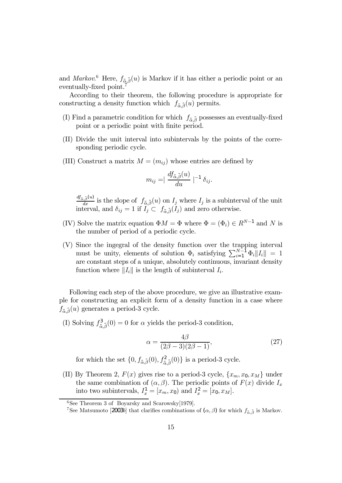and *Markov*.<sup>6</sup> Here,  $f_{\tilde{\alpha},\tilde{\beta}}(u)$  is Markov if it has either a periodic point or an eventually-fixed point.

According to their theorem, the following procedure is appropriate for constructing a density function which  $f_{\tilde{\alpha}, \tilde{\beta}}(u)$  permits.

- (I) Find a parametric condition for which  $f_{\tilde{\alpha}, \tilde{\beta}}$  possesses an eventually-fixed point or a periodic point with finite period.
- (II) Divide the unit interval into subintervals by the points of the corresponding periodic cycle.
- (III) Construct a matrix  $M = (m_{ij})$  whose entries are defined by

$$
m_{ij} = \mid \frac{df_{\tilde{\alpha},\tilde{\beta}}(u)}{du} \mid^{-1} \delta_{ij}.
$$

 $\frac{df_{\tilde{\alpha},\tilde{\beta}}(u)}{dx}$  is the slope of  $f_{\tilde{\alpha},\tilde{\beta}}(u)$  on  $I_j$  where  $I_j$  is a subinterval of the unit interval, and  $\delta_{ij} = 1$  if  $I_j \subset f_{\tilde{\alpha}, \tilde{\beta}}(I_j)$  and zero otherwise.

- (IV) Solve the matrix equation  $\Phi M = \Phi$  where  $\Phi = (\Phi_i) \in R^{N-1}$  and N is the number of period of a periodic cycle.
- (V) Since the ingegral of the density function over the trapping interval must be unity, elements of solution  $\Phi_i$  satisfying  $\sum_{i=1}^{N-1} \Phi_i ||I_i|| = 1$ are constant steps of a unique, absolutely continuous, invariant density function where  $||I_i||$  is the length of subinterval  $I_i$ .

Following each step of the above procedure, we give an illustrative example for constructing an explicit form of a density function in a case where  $f_{\tilde{\alpha},\tilde{\beta}}(u)$  generates a period-3 cycle.

(I) Solving  $f_{\tilde{\alpha},\tilde{\beta}}^3(0) = 0$  for  $\alpha$  yields the period-3 condition,

$$
\alpha = \frac{4\beta}{(2\beta - 3)(2\beta - 1)},\tag{27}
$$

for which the set  $\{0, f_{\tilde{\alpha}, \tilde{\beta}}(0), f_{\tilde{\alpha}, \tilde{\beta}}^2(0)\}$  is a period-3 cycle.

(II) By Theorem 2,  $F(x)$  gives rise to a period-3 cycle,  $\{x_m, x_0, x_M\}$  under the same combination of  $(\alpha, \beta)$ . The periodic points of  $F(x)$  divide  $I_x$ into two subintervals,  $I_x^1 = [x_m, x_0]$  and  $I_x^2 = [x_0, x_M]$ .

 $6$ See Theorem 3 of Boyarsky and Scarowsky[1979].

<sup>&</sup>lt;sup>7</sup>See Matsumoto [2003b] that clarifies combinations of  $(\alpha, \beta)$  for which  $f_{\alpha, \tilde{\beta}}$  is Markov.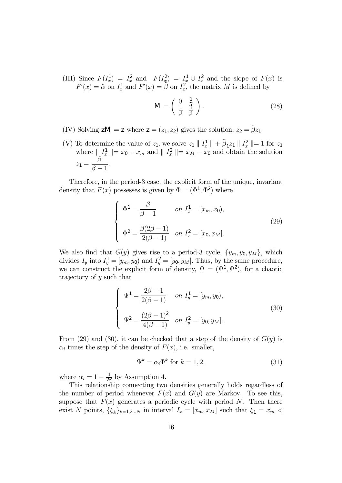(III) Since  $F(I_x^1) = I_x^2$  and  $F(I_x^2) = I_x^1 \cup I_x^2$  and the slope of  $F(x)$  is  $F'(x) = \alpha$  on  $I_x^1$  and  $F'(x) = \beta$  on  $I_x^2$ , the matrix M is defined by

$$
\mathsf{M} = \left(\begin{array}{cc} 0 & \frac{1}{\tilde{\alpha}} \\ \frac{1}{\beta} & \frac{1}{\beta} \end{array}\right). \tag{28}
$$

- (IV) Solving  $ZM = Z$  where  $Z = (z_1, z_2)$  gives the solution,  $z_2 = \tilde{\beta}z_1$ .
- (V) To determine the value of  $z_1$ , we solve  $z_1 \parallel I_x^1 \parallel + \tilde{\beta}_1 z_1 \parallel I_x^2 \parallel = 1$  for  $z_1$ where  $\Vert I_x^1 \Vert = x_0 - x_m$  and  $\Vert I_x^2 \Vert = x_M - x_0$  and obtain the solution  $z_1 = \frac{\beta}{\rho}$  $\beta - 1$ .

Therefore, in the period-3 case, the explicit form of the unique, invariant density that  $F(x)$  possesses is given by  $\Phi = (\Phi^1, \Phi^2)$  where

$$
\begin{cases}\n\Phi^1 = \frac{\beta}{\beta - 1} & \text{on } I_x^1 = [x_m, x_0), \\
\Phi^2 = \frac{\beta(2\beta - 1)}{2(\beta - 1)} & \text{on } I_x^2 = [x_0, x_M].\n\end{cases}
$$
\n(29)

We also find that  $G(y)$  gives rise to a period-3 cycle,  $\{y_m, y_0, y_M\}$ , which divides  $I_y$  into  $I_y^1 = [y_m, y_0)$  and  $I_y^2 = [y_0, y_M]$ . Thus, by the same procedure, we can construct the explicit form of density,  $\Psi = (\Psi^1, \Psi^2)$ , for a chaotic trajectory of y such that

$$
\begin{cases}\n\Psi^1 = \frac{2\beta - 1}{2(\beta - 1)} & \text{on } I_y^1 = [y_m, y_0), \\
\Psi^2 = \frac{(2\beta - 1)^2}{4(\beta - 1)} & \text{on } I_y^2 = [y_0, y_M].\n\end{cases}
$$
\n(30)

From (29) and (30), it can be checked that a step of the density of  $G(y)$  is  $\alpha_i$  times the step of the density of  $F(x)$ , i.e. smaller,

$$
\Psi^k = \alpha_i \Phi^k \text{ for } k = 1, 2. \tag{31}
$$

where  $\alpha_i = 1 - \frac{1}{2\beta}$  by Assumption 4.

This relationship connecting two densities generally holds regardless of the number of period whenever  $F(x)$  and  $G(y)$  are Markov. To see this, suppose that  $F(x)$  generates a periodic cycle with period N. Then there exist N points,  $\{\xi_k\}_{k=1,2...N}$  in interval  $I_x = [x_m, x_M]$  such that  $\xi_1 = x_m$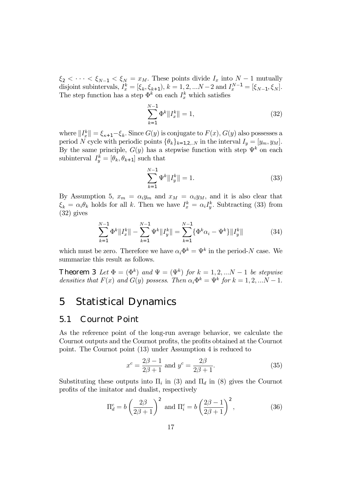$\xi_2 < \cdots < \xi_{N-1} < \xi_N = x_M$ . These points divide  $I_x$  into  $N-1$  mutually disjoint subintervals,  $I_x^k = [\xi_k, \xi_{k+1}), k = 1, 2, ...N-2$  and  $I_x^{N-1} = [\xi_{N-1}, \xi_N].$ The step function has a step  $\Phi^k$  on each  $I_x^k$  which satisfies

$$
\sum_{k=1}^{N-1} \Phi^k \| I_x^k \| = 1,
$$
\n(32)

where  $||I_x^k|| = \xi_{\kappa+1} - \xi_k$ . Since  $G(y)$  is conjugate to  $F(x)$ ,  $G(y)$  also possesses a period N cycle with periodic points  $\{\theta_k\}_{k=1,2...N}$  in the interval  $I_y = [y_m, y_M]$ . By the same principle,  $G(y)$  has a stepwise function with step  $\Psi^k$  on each subinterval  $I_y^k = [\theta_k, \theta_{k+1}]$  such that

$$
\sum_{k=1}^{N-1} \Psi^k \| I_y^k \| = 1.
$$
\n(33)

By Assumption 5,  $x_m = \alpha_i y_m$  and  $x_M = \alpha_i y_M$ , and it is also clear that  $\xi_k = \alpha_i \theta_k$  holds for all k. Then we have  $I_x^k = \alpha_i I_y^k$ . Subtracting (33) from (32) gives

$$
\sum_{k=1}^{N-1} \Phi^k \|I_x^k\| - \sum_{k=1}^{N-1} \Psi^k \|I_y^k\| = \sum_{k=1}^{N-1} {\{\Phi^k \alpha_i - \Psi^k\}} \|I_y^k\|
$$
 (34)

which must be zero. Therefore we have  $\alpha_i \Phi^k = \Psi^k$  in the period-N case. We summarize this result as follows.

**Theorem 3** Let  $\Phi = (\Phi^k)$  and  $\Psi = (\Psi^k)$  for  $k = 1, 2, ...N - 1$  be stepwise densities that  $F(x)$  and  $G(y)$  possess. Then  $\alpha_i \Phi^k = \Psi^k$  for  $k = 1, 2, ... N - 1$ .

### 5 Statistical Dynamics

### 5.1 Cournot Point

As the reference point of the long-run average behavior, we calculate the Cournot outputs and the Cournot profits, the profits obtained at the Cournot point. The Cournot point (13) under Assumption 4 is reduced to

$$
x^{c} = \frac{2\beta - 1}{2\beta + 1} \text{ and } y^{c} = \frac{2\beta}{2\beta + 1}.
$$
 (35)

Substituting these outputs into  $\Pi_i$  in (3) and  $\Pi_d$  in (8) gives the Cournot profits of the imitator and dualist, respectively

$$
\Pi_d^c = b \left( \frac{2\beta}{2\beta + 1} \right)^2 \text{ and } \Pi_i^c = b \left( \frac{2\beta - 1}{2\beta + 1} \right)^2,
$$
\n(36)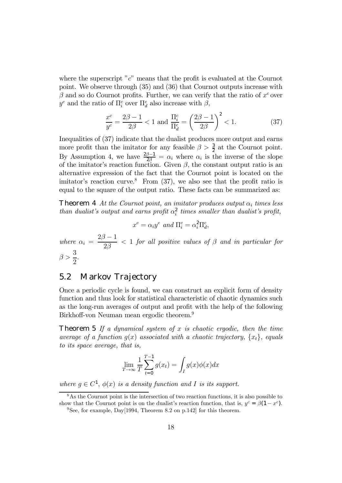where the superscript "c" means that the profit is evaluated at the Cournot point. We observe through (35) and (36) that Cournot outputs increase with  $\beta$  and so do Cournot profits. Further, we can verify that the ratio of  $x^c$  over  $y^c$  and the ratio of  $\Pi_i^c$  over  $\Pi_d^c$  also increase with  $\beta$ ,

$$
\frac{x^{c}}{y^{c}} = \frac{2\beta - 1}{2\beta} < 1 \text{ and } \frac{\Pi_{i}^{c}}{\Pi_{d}^{c}} = \left(\frac{2\beta - 1}{2\beta}\right)^{2} < 1.
$$
 (37)

Inequalities of (37) indicate that the dualist produces more output and earns more profit than the imitator for any feasible  $\beta > \frac{3}{2}$  at the Cournot point. By Assumption 4, we have  $\frac{2\beta-1}{2\beta} = \alpha_i$  where  $\alpha_i$  is the inverse of the slope of the imitator's reaction function. Given  $\beta$ , the constant output ratio is an alternative expression of the fact that the Cournot point is located on the imitator's reaction curve.<sup>8</sup> From (37), we also see that the profit ratio is equal to the square of the output ratio. These facts can be summarized as:

**Theorem 4** At the Cournot point, an imitator produces output  $\alpha_i$  times less than dualist's output and earns profit  $\alpha_i^2$  times smaller than dualist's profit,

$$
x^c = \alpha_i y^c \text{ and } \Pi_i^c = \alpha_i^2 \Pi_d^c,
$$

where  $\alpha_i = \frac{2\beta - 1}{2\beta} < 1$  for all positive values of  $\beta$  and in particular for  $\beta >$ 3 2 .

### 5.2 Markov Trajectory

Once a periodic cycle is found, we can construct an explicit form of density function and thus look for statistical characteristic of chaotic dynamics such as the long-run averages of output and profit with the help of the following Birkhoff-von Neuman mean ergodic theorem.9

**Theorem 5** If a dynamical system of x is chaotic ergodic, then the time average of a function  $q(x)$  associated with a chaotic trajectory,  $\{x_t\}$ , equals to its space average, that is,

$$
\lim_{T \to \infty} \frac{1}{T} \sum_{t=0}^{T-1} g(x_t) = \int_I g(x) \phi(x) dx
$$

where  $q \in C^1$ ,  $\phi(x)$  is a density function and I is its support.

<sup>8</sup>As the Cournot point is the intersection of two reaction functions, it is also possible to show that the Cournot point is on the dualist's reaction function, that is,  $y^c = \beta(1 - x^c)$ .<br><sup>9</sup>See, for example, Day[1994, Theorem 8.2 on p.142] for this theorem.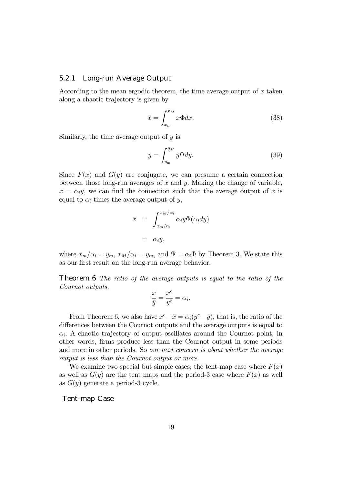#### 5.2.1 Long-run Average Output

According to the mean ergodic theorem, the time average output of  $x$  taken along a chaotic trajectory is given by

$$
\bar{x} = \int_{x_m}^{x_M} x \Phi dx.
$$
 (38)

Similarly, the time average output of  $\eta$  is

$$
\bar{y} = \int_{y_m}^{y_M} y \Psi dy.
$$
\n(39)

Since  $F(x)$  and  $G(y)$  are conjugate, we can presume a certain connection between those long-run averages of  $x$  and  $y$ . Making the change of variable,  $x = \alpha_i y$ , we can find the connection such that the average output of x is equal to  $\alpha_i$  times the average output of y,

$$
\bar{x} = \int_{x_m/\alpha_i}^{x_M/\alpha_i} \alpha_i y \Phi(\alpha_i dy)
$$

$$
= \alpha_i \bar{y},
$$

where  $x_m/\alpha_i = y_m$ ,  $x_M/\alpha_i = y_m$ , and  $\Psi = \alpha_i \Phi$  by Theorem 3. We state this as our first result on the long-run average behavior.

**Theorem 6** The ratio of the average outputs is equal to the ratio of the Cournot outputs,

$$
\frac{\bar{x}}{\bar{y}} = \frac{x^c}{y^c} = \alpha_i.
$$

From Theorem 6, we also have  $x^c - \bar{x} = \alpha_i(y^c - \bar{y})$ , that is, the ratio of the differences between the Cournot outputs and the average outputs is equal to  $\alpha_i$ . A chaotic trajectory of output oscillates around the Cournot point, in other words, firms produce less than the Cournot output in some periods and more in other periods. So our next concern is about whether the average output is less than the Cournot output or more.

We examine two special but simple cases; the tent-map case where  $F(x)$ as well as  $G(y)$  are the tent maps and the period-3 case where  $F(x)$  as well as  $G(y)$  generate a period-3 cycle.

#### Tent-map Case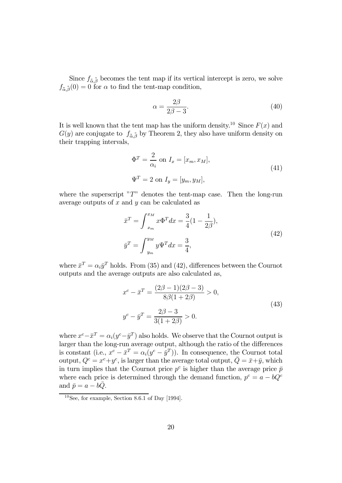Since  $f_{\tilde{\alpha}, \tilde{\beta}}$  becomes the tent map if its vertical intercept is zero, we solve  $f_{\tilde{\alpha},\tilde{\beta}}(0) = 0$  for  $\alpha$  to find the tent-map condition,

$$
\alpha = \frac{2\beta}{2\beta - 3}.\tag{40}
$$

It is well known that the tent map has the uniform density.<sup>10</sup> Since  $F(x)$  and  $G(y)$  are conjugate to  $f_{\tilde{\alpha}, \tilde{\beta}}$  by Theorem 2, they also have uniform density on their trapping intervals,

$$
\Phi^T = \frac{2}{\alpha_i} \text{ on } I_x = [x_m, x_M],
$$
  

$$
\Psi^T = 2 \text{ on } I_y = [y_m, y_M],
$$
  
(41)

where the superscript  $T$ " denotes the tent-map case. Then the long-run average outputs of  $x$  and  $y$  can be calculated as

$$
\bar{x}^T = \int_{x_m}^{x_M} x \Phi^T dx = \frac{3}{4} (1 - \frac{1}{2\beta}),
$$
  
\n
$$
\bar{y}^T = \int_{y_m}^{y_M} y \Psi^T dx = \frac{3}{4},
$$
\n(42)

where  $\bar{x}^T = \alpha_i \bar{y}^T$  holds. From (35) and (42), differences between the Cournot outputs and the average outputs are also calculated as,

$$
x^{c} - \bar{x}^{T} = \frac{(2\beta - 1)(2\beta - 3)}{8\beta(1 + 2\beta)} > 0,
$$
  

$$
y^{c} - \bar{y}^{T} = \frac{2\beta - 3}{3(1 + 2\beta)} > 0.
$$
 (43)

where  $x^c - \bar{x}^T = \alpha_i(y^c - \bar{y}^T)$  also holds. We observe that the Cournot output is larger than the long-run average output, although the ratio of the differences is constant (i.e.,  $x^c - \bar{x}^T = \alpha_i(y^c - \bar{y}^T)$ ). In consequence, the Cournot total output,  $Q^c = x^c + y^c$ , is larger than the average total output,  $\overline{Q} = \overline{x} + \overline{y}$ , which in turn implies that the Cournot price  $p^c$  is higher than the average price  $\bar{p}$ where each price is determined through the demand function,  $p^c = a - bQ^c$ and  $\bar{p} = a - b\bar{Q}$ .

 $10$ See, for example, Section 8.6.1 of Day [1994].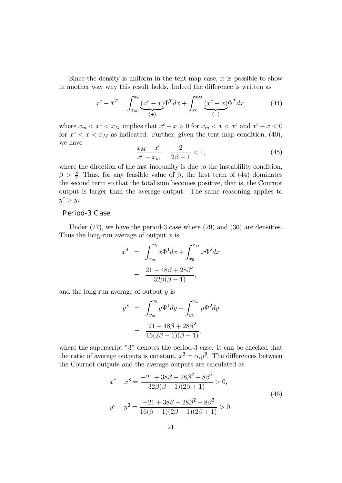Since the density is uniform in the tent-map case, it is possible to show in another way why this result holds. Indeed the difference is written as

$$
x^{c} - \bar{x}^{T} = \int_{x_{m}}^{x_{c}} \underbrace{(x^{c} - x)}_{(+)} \Phi^{T} dx + \int_{xc}^{x_{M}} \underbrace{(x^{c} - x)}_{(-)} \Phi^{T} dx, \tag{44}
$$

where  $x_m < x^c < x_M$  implies that  $x^c - x > 0$  for  $x_m < x < x^c$  and  $x^c - x < 0$ for  $x^c < x < x_M$  as indicated. Further, given the tent-map condition, (40), we have

$$
\frac{x_M - x^c}{x^c - x_m} = \frac{2}{2\beta - 1} < 1,\tag{45}
$$

where the direction of the last inequality is due to the instablility condition,  $\beta > \frac{3}{2}$ . Thus, for any feasible value of  $\beta$ , the first term of (44) dominates the second term so that the total sum becomes positive, that is, the Cournot output is larger than the average output. The same reasoning applies to  $y^c > \bar{y}.$ 

### Period-3 Case

Under  $(27)$ , we have the period-3 case where  $(29)$  and  $(30)$  are densities. Thus the long-run average of output  $x$  is

$$
\bar{x}^3 = \int_{x_m}^{x_0} x \Phi^1 dx + \int_{x_0}^{x_M} x \Phi^2 dx
$$

$$
= \frac{21 - 48\beta + 28\beta^2}{32\beta(\beta - 1)},
$$

and the long-run average of output  $y$  is

$$
\bar{y}^3 = \int_{y_m}^{y_0} y \Psi^1 dy + \int_{y_0}^{y_M} y \Psi^2 dy
$$

$$
= \frac{21 - 48\beta + 28\beta^2}{16(2\beta - 1)(\beta - 1)},
$$

where the superscript "3" denotes the period-3 case. It can be checked that the ratio of average outputs is constant,  $\bar{x}^3 = \alpha_i \bar{y}^3$ . The differences between the Cournot outputs and the average outputs are calculated as

$$
x^{c} - \bar{x}^{3} = \frac{-21 + 38\beta - 28\beta^{2} + 8\beta^{3}}{32\beta(\beta - 1)(2\beta + 1)} > 0,
$$
  

$$
y^{c} - \bar{y}^{3} = \frac{-21 + 38\beta - 28\beta^{2} + 8\beta^{3}}{16(\beta - 1)(2\beta - 1)(2\beta + 1)} > 0,
$$
 (46)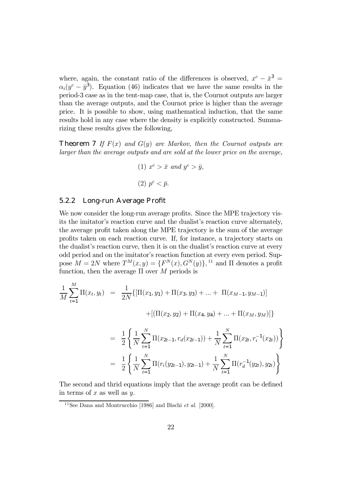where, again, the constant ratio of the differences is observed,  $x^c - \bar{x}^3 =$  $\alpha_i(y^c - \bar{y}^3)$ . Equation (46) indicates that we have the same results in the period-3 case as in the tent-map case, that is, the Cournot outputs are larger than the average outputs, and the Cournot price is higher than the average price. It is possible to show, using mathematical induction, that the same results hold in any case where the density is explicitly constructed. Summarizing these results gives the following,

**Theorem 7** If  $F(x)$  and  $G(y)$  are Markov, then the Cournot outputs are larger than the average outputs and are sold at the lower price on the average,

(1) 
$$
x^c > \bar{x}
$$
 and  $y^c > \bar{y}$ ,  
(2)  $p^c < \bar{p}$ .

#### 5.2.2 Long-run Average Profit

We now consider the long-run average profits. Since the MPE trajectory visits the imitator's reaction curve and the dualist's reaction curve alternately, the average profit taken along the MPE trajectory is the sum of the average profits taken on each reaction curve. If, for instance, a trajectory starts on the dualist's reaction curve, then it is on the dualist's reaction curve at every odd period and on the imitator's reaction function at every even period. Suppose  $M = 2N$  where  $T^M(x, y) = {F^N(x), G^N(y)}$ , <sup>11</sup> and  $\Pi$  denotes a profit function, then the average  $\Pi$  over M periods is

$$
\frac{1}{M} \sum_{t=1}^{M} \Pi(x_t, y_t) = \frac{1}{2N} \{ [\Pi(x_1, y_1) + \Pi(x_3, y_3) + \dots + \Pi(x_{M-1}, y_{M-1})] + [(\Pi(x_2, y_2) + \Pi(x_4, y_4) + \dots + \Pi(x_M, y_M)] \}
$$
\n
$$
= \frac{1}{2} \left\{ \frac{1}{N} \sum_{t=1}^{N} \Pi(x_{2t-1}, r_d(x_{2t-1})) + \frac{1}{N} \sum_{t=1}^{N} \Pi(x_{2t}, r_i^{-1}(x_{2t})) \right\}
$$
\n
$$
= \frac{1}{2} \left\{ \frac{1}{N} \sum_{t=1}^{N} \Pi(r_i(y_{2t-1}), y_{2t-1}) + \frac{1}{N} \sum_{t=1}^{N} \Pi(r_d^{-1}(y_{2t}), y_{2t}) \right\}
$$

The second and thrid equations imply that the average profit can be defined in terms of x as well as  $y$ .

<sup>&</sup>lt;sup>11</sup>See Dana and Montrucchio [1986] and Bischi *et al.* [2000].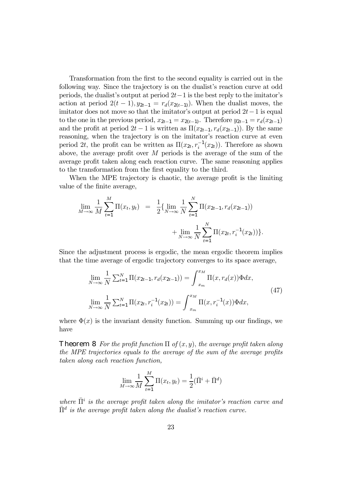Transformation from the first to the second equality is carried out in the following way. Since the trajectory is on the dualist's reaction curve at odd periods, the dualist's output at period 2t−1 is the best reply to the imitator's action at period  $2(t-1)$ ,  $y_{2t-1} = r_d(x_{2(t-1)})$ . When the dualist moves, the imitator does not move so that the imitator's output at period  $2t-1$  is equal to the one in the previous period,  $x_{2t-1} = x_{2(t-1)}$ . Therefore  $y_{2t-1} = r_d(x_{2t-1})$ and the profit at period  $2t - 1$  is written as  $\Pi(x_{2t-1}, r_d(x_{2t-1}))$ . By the same reasoning, when the trajectory is on the imitator's reaction curve at even period 2t, the profit can be written as  $\Pi(x_{2t}, r_i^{-1}(x_{2t}))$ . Therefore as shown above, the average profit over M periods is the average of the sum of the average profit taken along each reaction curve. The same reasoning applies to the transformation from the first equality to the third.

When the MPE trajectory is chaotic, the average profit is the limiting value of the finite average,

$$
\lim_{M \to \infty} \frac{1}{M} \sum_{t=1}^{M} \Pi(x_t, y_t) = \frac{1}{2} \{ \lim_{N \to \infty} \frac{1}{N} \sum_{t=1}^{N} \Pi(x_{2t-1}, r_d(x_{2t-1})) + \lim_{N \to \infty} \frac{1}{N} \sum_{t=1}^{N} \Pi(x_{2t}, r_i^{-1}(x_{2t})) \}.
$$

Since the adjustment process is ergodic, the mean ergodic theorem implies that the time average of ergodic trajectory converges to its space average,

$$
\lim_{N \to \infty} \frac{1}{N} \sum_{t=1}^{N} \Pi(x_{2t-1}, r_d(x_{2t-1})) = \int_{x_m}^{x_M} \Pi(x, r_d(x)) \Phi dx,
$$
\n
$$
\lim_{N \to \infty} \frac{1}{N} \sum_{t=1}^{N} \Pi(x_{2t}, r_i^{-1}(x_{2t})) = \int_{x_m}^{x_M} \Pi(x, r_i^{-1}(x)) \Phi dx,
$$
\n(47)

where  $\Phi(x)$  is the invariant density function. Summing up our findings, we have

**Theorem 8** For the profit function  $\Pi$  of  $(x, y)$ , the average profit taken along the MPE trajectories equals to the average of the sum of the average profits taken along each reaction function,

$$
\lim_{M \to \infty} \frac{1}{M} \sum_{t=1}^{M} \Pi(x_t, y_t) = \frac{1}{2} (\bar{\Pi}^i + \bar{\Pi}^d)
$$

where  $\bar{\Pi}^i$  is the average profit taken along the imitator's reaction curve and  $\bar{\Pi}^d$  is the average profit taken along the dualist's reaction curve.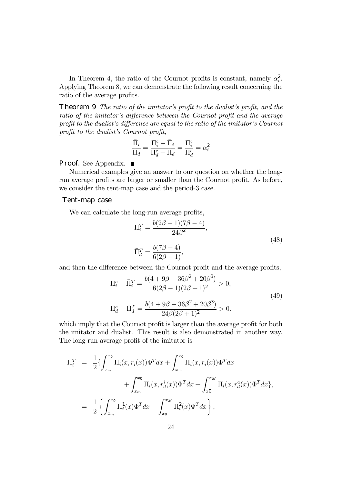In Theorem 4, the ratio of the Cournot profits is constant, namely  $\alpha_i^2$ . Applying Theorem 8, we can demonstrate the following result concerning the ratio of the average profits.

Theorem 9 The ratio of the imitator's profit to the dualist's profit, and the ratio of the imitator's difference between the Cournot profit and the average profit to the dualist's difference are equal to the ratio of the imitator's Cournot profit to the dualist's Cournot profit,

$$
\frac{\bar{\Pi}_i}{\bar{\Pi}_d} = \frac{\Pi_i^c - \bar{\Pi}_i}{\Pi_d^c - \bar{\Pi}_d} = \frac{\Pi_i^c}{\Pi_d^c} = \alpha_i^2
$$

**Proof.** See Appendix. ■

Numerical examples give an answer to our question on whether the longrun average profits are larger or smaller than the Cournot profit. As before, we consider the tent-map case and the period-3 case.

#### Tent-map case

We can calculate the long-run average profits,

$$
\bar{\Pi}_i^T = \frac{b(2\beta - 1)(7\beta - 4)}{24\beta^2},
$$
  
\n
$$
\bar{\Pi}_d^T = \frac{b(7\beta - 4)}{6(2\beta - 1)},
$$
\n(48)

and then the difference between the Cournot profit and the average profits,

$$
\Pi_i^c - \bar{\Pi}_i^T = \frac{b(4 + 9\beta - 36\beta^2 + 20\beta^3)}{6(2\beta - 1)(2\beta + 1)^2} > 0,
$$
\n
$$
\Pi_d^c - \bar{\Pi}_d^T = \frac{b(4 + 9\beta - 36\beta^2 + 20\beta^3)}{24\beta(2\beta + 1)^2} > 0.
$$
\n(49)

which imply that the Cournot profit is larger than the average profit for both the imitator and dualist. This result is also demonstrated in another way. The long-run average profit of the imitator is

$$
\begin{split}\n\bar{\Pi}_{i}^{T} &= \frac{1}{2} \{ \int_{x_{m}}^{x_{0}} \Pi_{i}(x, r_{i}(x)) \Phi^{T} dx + \int_{x_{m}}^{x_{0}} \Pi_{i}(x, r_{i}(x)) \Phi^{T} dx \\
&\quad + \int_{x_{m}}^{x_{0}} \Pi_{i}(x, r_{d}^{i}(x)) \Phi^{T} dx + \int_{x_{0}}^{x_{M}} \Pi_{i}(x, r_{d}^{a}(x)) \Phi^{T} dx \}, \\
&= \frac{1}{2} \left\{ \int_{x_{m}}^{x_{0}} \Pi_{i}^{1}(x) \Phi^{T} dx + \int_{x_{0}}^{x_{M}} \Pi_{i}^{2}(x) \Phi^{T} dx \right\},\n\end{split}
$$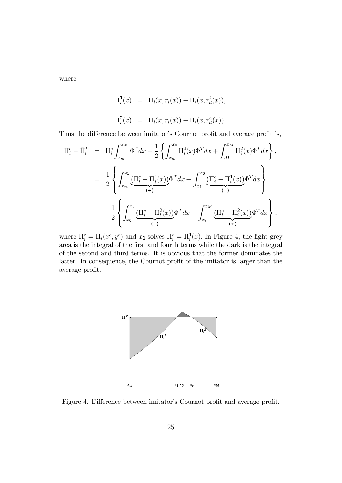where

$$
\Pi_i^1(x) = \Pi_i(x, r_i(x)) + \Pi_i(x, r_d^i(x)),
$$
  

$$
\Pi_i^2(x) = \Pi_i(x, r_i(x)) + \Pi_i(x, r_d^a(x)).
$$

Thus the difference between imitator's Cournot profit and average profit is,

$$
\Pi_i^c - \bar{\Pi}_i^T = \Pi_i^c \int_{x_m}^{x_M} \Phi^T dx - \frac{1}{2} \left\{ \int_{x_m}^{x_0} \Pi_i^1(x) \Phi^T dx + \int_{x_0}^{x_M} \Pi_i^2(x) \Phi^T dx \right\},
$$
  
\n
$$
= \frac{1}{2} \left\{ \int_{x_m}^{x_1} \underbrace{(\Pi_i^c - \Pi_i^1(x))}_{(+)}\Phi^T dx + \int_{x_1}^{x_0} \underbrace{(\Pi_i^c - \Pi_i^1(x))}_{(-)}\Phi^T dx \right\}
$$
  
\n
$$
+ \frac{1}{2} \left\{ \int_{x_0}^{x_c} \underbrace{(\Pi_i^c - \Pi_i^2(x))}_{(-)}\Phi^T dx + \int_{x_c}^{x_M} \underbrace{(\Pi_i^c - \Pi_i^2(x))}_{(+)}\Phi^T dx \right\},
$$

where  $\Pi_i^c = \Pi_i(x^c, y^c)$  and  $x_1$  solves  $\Pi_i^c = \Pi_i^1(x)$ . In Figure 4, the light grey area is the integral of the first and fourth terms while the dark is the integral of the second and third terms. It is obvious that the former dominates the latter. In consequence, the Cournot profit of the imitator is larger than the average profit.



Figure 4. Difference between imitator's Cournot profit and average profit.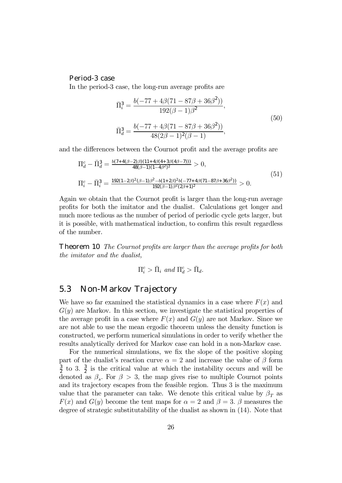#### Period-3 case

In the period-3 case, the long-run average profits are

$$
\bar{\Pi}_{i}^{3} = \frac{b(-77 + 4\beta(71 - 87\beta + 36\beta^{2}))}{192(\beta - 1)\beta^{2}},
$$
\n
$$
\bar{\Pi}_{d}^{3} = \frac{b(-77 + 4\beta(71 - 87\beta + 36\beta^{2}))}{48(2\beta - 1)^{2}(\beta - 1)},
$$
\n(50)

and the differences between the Cournot profit and the average profits are

$$
\Pi_d^c - \bar{\Pi}_d^3 = \frac{b(7 + 4(\beta - 2)\beta)(11 + 4\beta(4 + 3\beta(4\beta - 7)))}{48(\beta - 1)(1 - 4\beta^2)^2} > 0,
$$
\n
$$
\Pi_i^c - \bar{\Pi}_i^3 = \frac{192(1 - 2\beta)^2(\beta - 1)\beta^2 - b(1 + 2\beta)^2b(-77 + 4\beta(71 - 87\beta + 36\beta^2))}{192(\beta - 1)\beta^2(2\beta + 1)^2} > 0.
$$
\n(51)

Again we obtain that the Cournot profit is larger than the long-run average profits for both the imitator and the dualist. Calculations get longer and much more tedious as the number of period of periodic cycle gets larger, but it is possible, with mathematical induction, to confirm this result regardless of the number.

**Theorem 10** The Cournot profits are larger than the average profits for both the imitator and the dualist,

$$
\Pi_i^c > \bar{\Pi}_i \text{ and } \Pi_d^c > \bar{\Pi}_d.
$$

### 5.3 Non-Markov Trajectory

We have so far examined the statistical dynamics in a case where  $F(x)$  and  $G(y)$  are Markov. In this section, we investigate the statistical properties of the average profit in a case where  $F(x)$  and  $G(y)$  are not Markov. Since we are not able to use the mean ergodic theorem unless the density function is constructed, we perform numerical simulations in order to verify whether the results analytically derived for Markov case can hold in a non-Markov case.

For the numerical simulations, we fix the slope of the positive sloping part of the dualist's reaction curve  $\alpha = 2$  and increase the value of  $\beta$  form  $\frac{3}{2}$  to 3.  $\frac{3}{2}$  is the critical value at which the instability occurs and will be denoted as  $\beta_s$ . For  $\beta > 3$ , the map gives rise to multiple Cournot points and its trajectory escapes from the feasible region. Thus 3 is the maximum value that the parameter can take. We denote this critical value by  $\beta_T$  as  $F(x)$  and  $G(y)$  become the tent maps for  $\alpha = 2$  and  $\beta = 3$ .  $\beta$  measures the degree of strategic substitutability of the dualist as shown in (14). Note that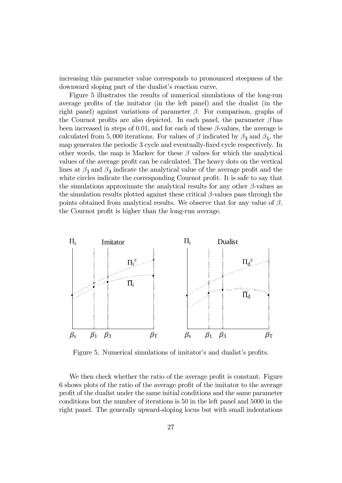increasing this parameter value corresponds to pronounced steepness of the downward sloping part of the dualist's reaction curve.

Figure 5 illustrates the results of numerical simulations of the long-run average profits of the imitator (in the left panel) and the dualist (in the right panel) against variations of parameter  $\beta$ . For comparison, graphs of the Cournot profits are also depicted. In each panel, the parameter  $\beta$  has been increased in steps of 0.01, and for each of these  $\beta$ -values, the average is calculated from 5,000 iterations. For values of  $\beta$  indicated by  $\beta_3$  and  $\beta_1$ , the map generates the periodic 3 cycle and eventually-fixed cycle respectively. In other words, the map is Markov for these  $\beta$  values for which the analytical values of the average profit can be calculated. The heavy dots on the vertical lines at  $\beta_1$  and  $\beta_3$  indicate the analytical value of the average profit and the white circles indicate the corresponding Cournot profit. It is safe to say that the simulations approximate the analytical results for any other  $\beta$ -values as the simulation results plotted against these critical  $\beta$ -values pass through the points obtained from analytical results. We observe that for any value of  $\beta$ , the Cournot profit is higher than the long-run average.



Figure 5. Numerical simulations of imitator's and dualist's profits.

We then check whether the ratio of the average profit is constant. Figure 6 shows plots of the ratio of the average profit of the imitator to the average profit of the dualist under the same initial conditions and the same parameter conditions but the number of iterations is 50 in the left panel and 5000 in the right panel. The generally upward-sloping locus but with small indentations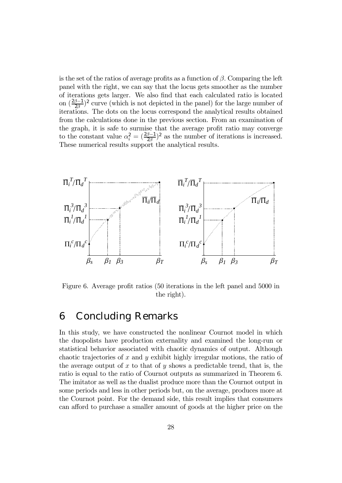is the set of the ratios of average profits as a function of  $\beta$ . Comparing the left panel with the right, we can say that the locus gets smoother as the number of iterations gets larger. We also find that each calculated ratio is located on  $(\frac{2\beta-1}{2\beta})^2$  curve (which is not depicted in the panel) for the large number of iterations. The dots on the locus correspond the analytical results obtained from the calculations done in the previous section. From an examination of the graph, it is safe to surmise that the average profit ratio may converge to the constant value  $\alpha_i^2 = \left(\frac{2\beta - 1}{2\beta}\right)^2$  as the number of iterations is increased. These numerical results support the analytical results.



Figure 6. Average profit ratios (50 iterations in the left panel and 5000 in the right).

### 6 Concluding Remarks

In this study, we have constructed the nonlinear Cournot model in which the duopolists have production externality and examined the long-run or statistical behavior associated with chaotic dynamics of output. Although chaotic trajectories of x and y exhibit highly irregular motions, the ratio of the average output of  $x$  to that of  $y$  shows a predictable trend, that is, the ratio is equal to the ratio of Cournot outputs as summarized in Theorem 6. The imitator as well as the dualist produce more than the Cournot output in some periods and less in other periods but, on the average, produces more at the Cournot point. For the demand side, this result implies that consumers can afford to purchase a smaller amount of goods at the higher price on the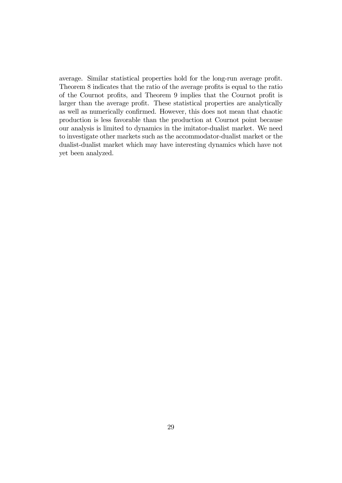average. Similar statistical properties hold for the long-run average profit. Theorem 8 indicates that the ratio of the average profits is equal to the ratio of the Cournot profits, and Theorem 9 implies that the Cournot profit is larger than the average profit. These statistical properties are analytically as well as numerically confirmed. However, this does not mean that chaotic production is less favorable than the production at Cournot point because our analysis is limited to dynamics in the imitator-dualist market. We need to investigate other markets such as the accommodator-dualist market or the dualist-dualist market which may have interesting dynamics which have not yet been analyzed.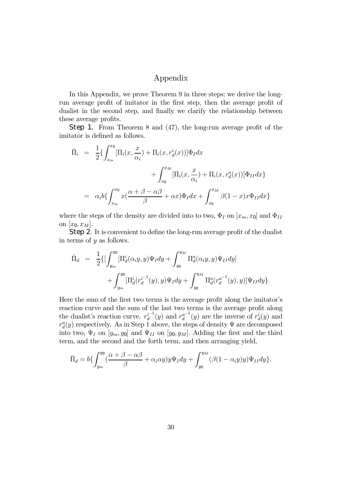### Appendix

In this Appendix, we prove Theorem 9 in three steps; we derive the longrun average profit of imitator in the first step, then the average profit of dualist in the second step, and finally we clarify the relationship between these average profits.

**Step 1.** From Theorem 8 and (47), the long-run average profit of the imitator is defined as follows.

$$
\bar{\Pi}_i = \frac{1}{2} \{ \int_{x_m}^{x_0} [\Pi_i(x, \frac{x}{\alpha_i}) + \Pi_i(x, r_d^i(x))] \Phi_I dx \n+ \int_{x_0}^{x_M} [\Pi_i(x, \frac{x}{\alpha_i}) + \Pi_i(x, r_d^a(x))] \Phi_{II} dx \} \n= \alpha_i b \{ \int_{x_m}^{x_0} x(\frac{\alpha + \beta - \alpha\beta}{\beta} + \alpha x) \Phi_I dx + \int_{x_0}^{x_M} \beta(1 - x) x \Phi_{II} dx \}
$$

where the steps of the density are divided into to two,  $\Phi_I$  on  $[x_m, x_0]$  and  $\Phi_{II}$ on  $[x_0, x_M]$ .

**Step 2.** It is convenient to define the long-run average profit of the dualist in terms of  $y$  as follows.

$$
\bar{\Pi}_d = \frac{1}{2} \{ [\int_{y_m}^{y_0} [\Pi_d^i(\alpha_i y, y) \Psi_I dy + \int_{y_0}^{y_M} \Pi_d^a(\alpha_i y, y) \Psi_{II} dy] + \int_{y_m}^{y_0} [\Pi_d^i(r_d^{i-1}(y), y) \Psi_I dy + \int_{y_0}^{y_M} \Pi_d^a(r_d^{a-1}(y), y) \Psi_{II} dy \}.
$$

Here the sum of the first two terms is the average profit along the imitator's reaction curve and the sum of the last two terms is the average profit along the dualist's reaction curve.  $r_d^{i^{-1}}(y)$  and  $r_d^{a^{-1}}(y)$  are the inverse of  $r_d^i(y)$  and  $r_d^a(y)$  respectively. As in Step 1 above, the steps of density  $\Psi$  are decomposed into two,  $\Psi_I$  on  $[y_m, y_0]$  and  $\Psi_{II}$  on  $[y_0, y_M]$ . Adding the first and the third term, and the second and the forth term, and then arranging yield,

$$
\bar{\Pi}_d = b \{ \int_{y_m}^{y_0} \left( \frac{\alpha + \beta - \alpha \beta}{\beta} + \alpha_i \alpha y \right) y \Psi_I dy + \int_{y_0}^{y_M} \left( \beta (1 - \alpha_i y) y \right) \Psi_{II} dy \}.
$$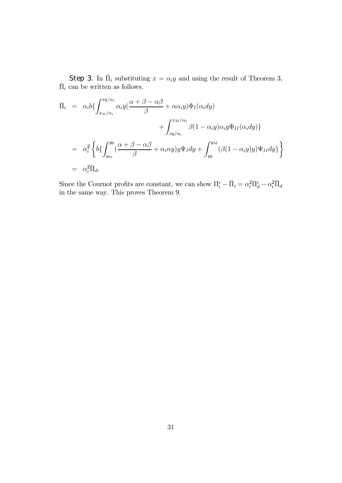**Step 3.** In  $\bar{\Pi}_i$  substituting  $x = \alpha_i y$  and using the result of Theorem 3,  $\bar \Pi_i$  can be written as follows.

$$
\bar{\Pi}_{i} = \alpha_{i}b\left\{\int_{x_{m}/\alpha_{i}}^{x_{0}/\alpha_{i}}\alpha_{i}y(\frac{\alpha+\beta-\alpha\beta}{\beta}+\alpha\alpha_{i}y)\Phi_{I}(\alpha_{i}dy) + \int_{x_{0}/\alpha_{i}}^{x_{M}/\alpha_{i}}\beta(1-\alpha_{i}y)\alpha_{i}y\Phi_{II}(\alpha_{i}dy)\right\}
$$
\n
$$
= \alpha_{i}^{2}\left\{b\left\{\int_{y_{m}}^{y_{0}}(\frac{\alpha+\beta-\alpha\beta}{\beta}+\alpha_{i}\alpha y)y\Psi_{I}dy + \int_{y_{0}}^{y_{M}}(\beta(1-\alpha_{i}y)y)\Psi_{II}dy\right\}\right\}
$$
\n
$$
= \alpha_{i}^{2}\bar{\Pi}_{d}.
$$

Since the Cournot profits are constant, we can show  $\Pi_i^c - \bar{\Pi}_i = \alpha_i^2 \Pi_d^c - \alpha_i^2 \bar{\Pi}_d$ in the same way. This proves Theorem 9.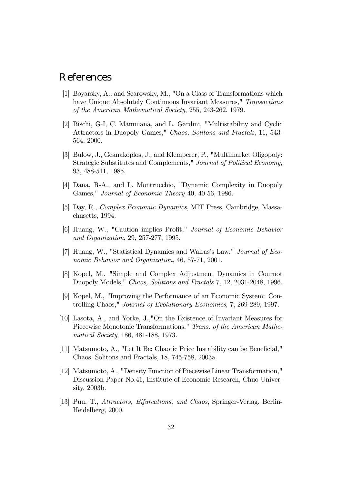### References

- [1] Boyarsky, A., and Scarowsky, M., "On a Class of Transformations which have Unique Absolutely Continuous Invariant Measures," Transactions of the American Mathematical Society, 255, 243-262, 1979.
- [2] Bischi, G-I, C. Mammana, and L. Gardini, "Multistability and Cyclic Attractors in Duopoly Games," Chaos, Solitons and Fractals, 11, 543- 564, 2000.
- [3] Bulow, J., Geanakoplos, J., and Klemperer, P., "Multimarket Oligopoly: Strategic Substitutes and Complements," Journal of Political Economy, 93, 488-511, 1985.
- [4] Dana, R-A., and L. Montrucchio, "Dynamic Complexity in Duopoly Games," Journal of Economic Theory 40, 40-56, 1986.
- [5] Day, R., Complex Economic Dynamics, MIT Press, Cambridge, Massachusetts, 1994.
- [6] Huang, W., "Caution implies Profit," Journal of Economic Behavior and Organization, 29, 257-277, 1995.
- [7] Huang, W., "Statistical Dynamics and Walras's Law," Journal of Economic Behavior and Organization, 46, 57-71, 2001.
- [8] Kopel, M., "Simple and Complex Adjustment Dynamics in Cournot Duopoly Models," Chaos, Solitions and Fractals 7, 12, 2031-2048, 1996.
- [9] Kopel, M., "Improving the Performance of an Economic System: Controlling Chaos," Journal of Evolutionary Economics, 7, 269-289, 1997.
- [10] Lasota, A., and Yorke, J.,"On the Existence of Invariant Measures for Piecewise Monotonic Transformations," Trans. of the American Mathematical Society, 186, 481-188, 1973.
- [11] Matsumoto, A., "Let It Be; Chaotic Price Instability can be Beneficial," Chaos, Solitons and Fractals, 18, 745-758, 2003a.
- [12] Matsumoto, A., "Density Function of Piecewise Linear Transformation," Discussion Paper No.41, Institute of Economic Research, Chuo University, 2003b.
- [13] Puu, T., Attractors, Bifurcations, and Chaos, Springer-Verlag, Berlin-Heidelberg, 2000.